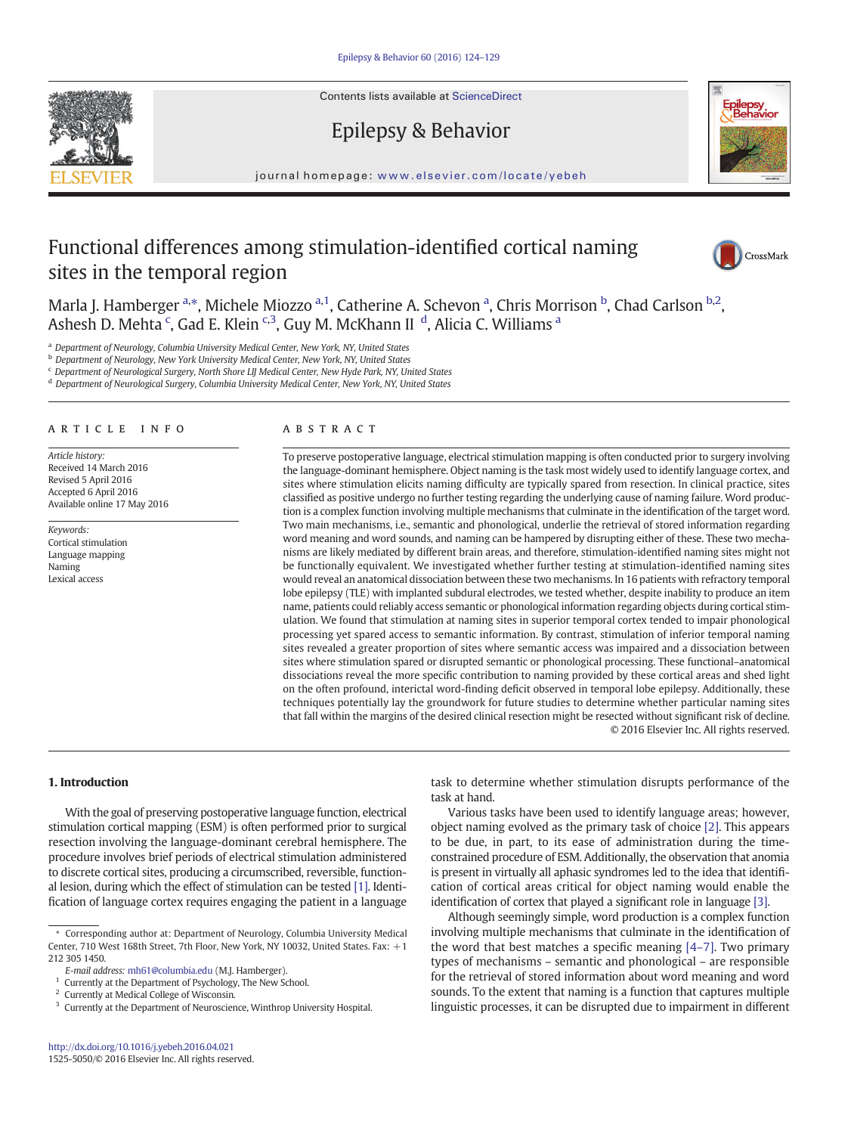Contents lists available at ScienceDirect







#### journal homepage: <www.elsevier.com/locate/yebeh>

# Functional differences among stimulation-identified cortical naming sites in the temporal region



Marla J. Hamberger <sup>a,\*</sup>, Michele Miozzo <sup>a,1</sup>, Catherine A. Schevon <sup>a</sup>, Chris Morrison <sup>b</sup>, Chad Carlson <sup>b,2</sup>, Ashesh D. Mehta  $\lq$ , Gad E. Klein  $\lq\lq 3$ , Guy M. McKhann II  $\lq$ , Alicia C. Williams  $\lq$ 

a Department of Neurology, Columbia University Medical Center, New York, NY, United States

<sup>b</sup> Department of Neurology, New York University Medical Center, New York, NY, United States

<sup>c</sup> Department of Neurological Surgery, North Shore LIJ Medical Center, New Hyde Park, NY, United States

<sup>d</sup> Department of Neurological Surgery, Columbia University Medical Center, New York, NY, United States

# article info abstract

Article history: Received 14 March 2016 Revised 5 April 2016 Accepted 6 April 2016 Available online 17 May 2016

Keywords: Cortical stimulation Language mapping Naming Lexical access

To preserve postoperative language, electrical stimulation mapping is often conducted prior to surgery involving the language-dominant hemisphere. Object naming is the task most widely used to identify language cortex, and sites where stimulation elicits naming difficulty are typically spared from resection. In clinical practice, sites classified as positive undergo no further testing regarding the underlying cause of naming failure. Word production is a complex function involving multiple mechanisms that culminate in the identification of the target word. Two main mechanisms, i.e., semantic and phonological, underlie the retrieval of stored information regarding word meaning and word sounds, and naming can be hampered by disrupting either of these. These two mechanisms are likely mediated by different brain areas, and therefore, stimulation-identified naming sites might not be functionally equivalent. We investigated whether further testing at stimulation-identified naming sites would reveal an anatomical dissociation between these two mechanisms. In 16 patients with refractory temporal lobe epilepsy (TLE) with implanted subdural electrodes, we tested whether, despite inability to produce an item name, patients could reliably access semantic or phonological information regarding objects during cortical stimulation. We found that stimulation at naming sites in superior temporal cortex tended to impair phonological processing yet spared access to semantic information. By contrast, stimulation of inferior temporal naming sites revealed a greater proportion of sites where semantic access was impaired and a dissociation between sites where stimulation spared or disrupted semantic or phonological processing. These functional–anatomical dissociations reveal the more specific contribution to naming provided by these cortical areas and shed light on the often profound, interictal word-finding deficit observed in temporal lobe epilepsy. Additionally, these techniques potentially lay the groundwork for future studies to determine whether particular naming sites that fall within the margins of the desired clinical resection might be resected without significant risk of decline. © 2016 Elsevier Inc. All rights reserved.

#### 1. Introduction

With the goal of preserving postoperative language function, electrical stimulation cortical mapping (ESM) is often performed prior to surgical resection involving the language-dominant cerebral hemisphere. The procedure involves brief periods of electrical stimulation administered to discrete cortical sites, producing a circumscribed, reversible, functional lesion, during which the effect of stimulation can be tested [\[1\]](#page-4-0). Identification of language cortex requires engaging the patient in a language task to determine whether stimulation disrupts performance of the task at hand.

Various tasks have been used to identify language areas; however, object naming evolved as the primary task of choice [\[2\]](#page-4-0). This appears to be due, in part, to its ease of administration during the timeconstrained procedure of ESM. Additionally, the observation that anomia is present in virtually all aphasic syndromes led to the idea that identification of cortical areas critical for object naming would enable the identification of cortex that played a significant role in language [\[3\]](#page-4-0).

Although seemingly simple, word production is a complex function involving multiple mechanisms that culminate in the identification of the word that best matches a specific meaning  $[4-7]$ . Two primary types of mechanisms – semantic and phonological – are responsible for the retrieval of stored information about word meaning and word sounds. To the extent that naming is a function that captures multiple linguistic processes, it can be disrupted due to impairment in different

<sup>⁎</sup> Corresponding author at: Department of Neurology, Columbia University Medical Center, 710 West 168th Street, 7th Floor, New York, NY 10032, United States. Fax:  $+1$ 212 305 1450.

E-mail address: [mh61@columbia.edu](mailto:mh61@columbia.edu) (M.J. Hamberger).

Currently at the Department of Psychology, The New School.

<sup>2</sup> Currently at Medical College of Wisconsin.

<sup>&</sup>lt;sup>3</sup> Currently at the Department of Neuroscience, Winthrop University Hospital.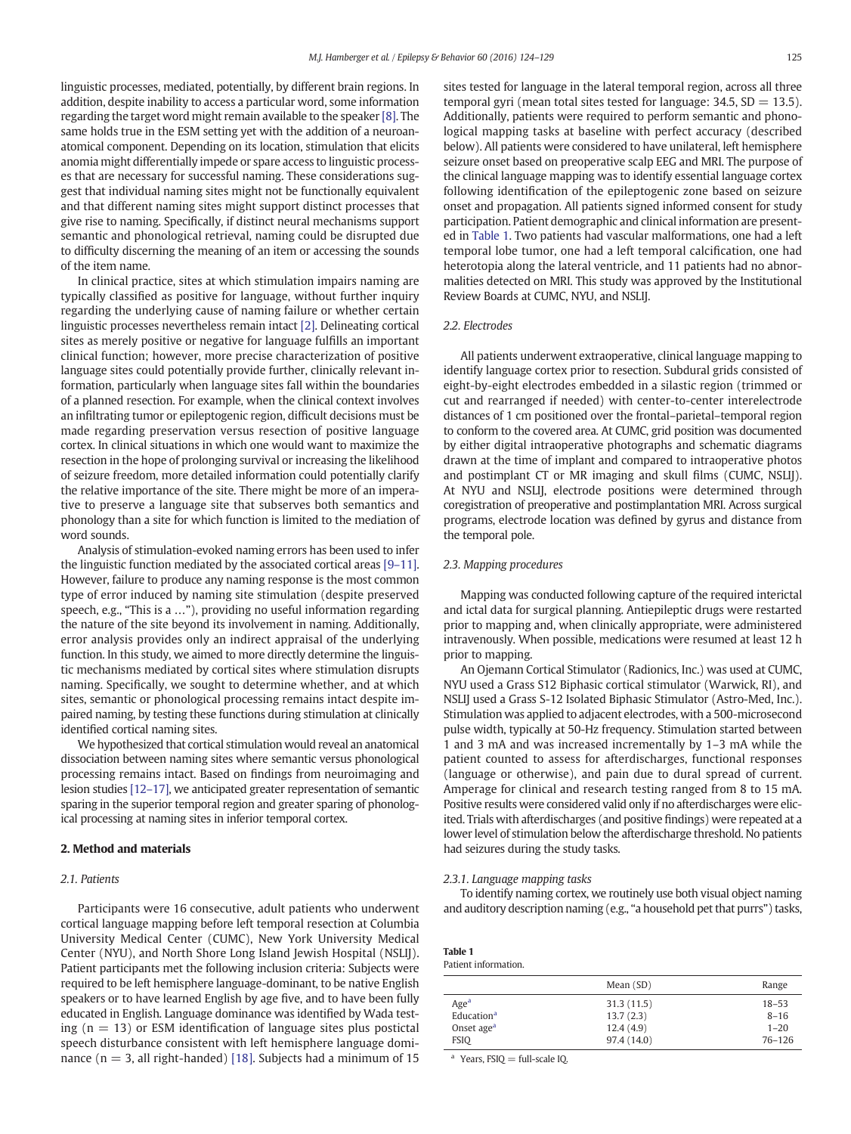linguistic processes, mediated, potentially, by different brain regions. In addition, despite inability to access a particular word, some information regarding the target word might remain available to the speaker [\[8\]](#page-4-0). The same holds true in the ESM setting yet with the addition of a neuroanatomical component. Depending on its location, stimulation that elicits anomia might differentially impede or spare access to linguistic processes that are necessary for successful naming. These considerations suggest that individual naming sites might not be functionally equivalent and that different naming sites might support distinct processes that give rise to naming. Specifically, if distinct neural mechanisms support semantic and phonological retrieval, naming could be disrupted due to difficulty discerning the meaning of an item or accessing the sounds of the item name.

In clinical practice, sites at which stimulation impairs naming are typically classified as positive for language, without further inquiry regarding the underlying cause of naming failure or whether certain linguistic processes nevertheless remain intact [\[2\]](#page-4-0). Delineating cortical sites as merely positive or negative for language fulfills an important clinical function; however, more precise characterization of positive language sites could potentially provide further, clinically relevant information, particularly when language sites fall within the boundaries of a planned resection. For example, when the clinical context involves an infiltrating tumor or epileptogenic region, difficult decisions must be made regarding preservation versus resection of positive language cortex. In clinical situations in which one would want to maximize the resection in the hope of prolonging survival or increasing the likelihood of seizure freedom, more detailed information could potentially clarify the relative importance of the site. There might be more of an imperative to preserve a language site that subserves both semantics and phonology than a site for which function is limited to the mediation of word sounds.

Analysis of stimulation-evoked naming errors has been used to infer the linguistic function mediated by the associated cortical areas [9–[11\].](#page-4-0) However, failure to produce any naming response is the most common type of error induced by naming site stimulation (despite preserved speech, e.g., "This is a …"), providing no useful information regarding the nature of the site beyond its involvement in naming. Additionally, error analysis provides only an indirect appraisal of the underlying function. In this study, we aimed to more directly determine the linguistic mechanisms mediated by cortical sites where stimulation disrupts naming. Specifically, we sought to determine whether, and at which sites, semantic or phonological processing remains intact despite impaired naming, by testing these functions during stimulation at clinically identified cortical naming sites.

We hypothesized that cortical stimulation would reveal an anatomical dissociation between naming sites where semantic versus phonological processing remains intact. Based on findings from neuroimaging and lesion studies [\[12](#page-4-0)–17], we anticipated greater representation of semantic sparing in the superior temporal region and greater sparing of phonological processing at naming sites in inferior temporal cortex.

#### 2. Method and materials

#### 2.1. Patients

Participants were 16 consecutive, adult patients who underwent cortical language mapping before left temporal resection at Columbia University Medical Center (CUMC), New York University Medical Center (NYU), and North Shore Long Island Jewish Hospital (NSLIJ). Patient participants met the following inclusion criteria: Subjects were required to be left hemisphere language-dominant, to be native English speakers or to have learned English by age five, and to have been fully educated in English. Language dominance was identified by Wada testing  $(n = 13)$  or ESM identification of language sites plus postictal speech disturbance consistent with left hemisphere language dominance ( $n = 3$ , all right-handed) [\[18\].](#page-4-0) Subjects had a minimum of 15

sites tested for language in the lateral temporal region, across all three temporal gyri (mean total sites tested for language:  $34.5$ ,  $SD = 13.5$ ). Additionally, patients were required to perform semantic and phonological mapping tasks at baseline with perfect accuracy (described below). All patients were considered to have unilateral, left hemisphere seizure onset based on preoperative scalp EEG and MRI. The purpose of the clinical language mapping was to identify essential language cortex following identification of the epileptogenic zone based on seizure onset and propagation. All patients signed informed consent for study participation. Patient demographic and clinical information are presented in Table 1. Two patients had vascular malformations, one had a left temporal lobe tumor, one had a left temporal calcification, one had heterotopia along the lateral ventricle, and 11 patients had no abnormalities detected on MRI. This study was approved by the Institutional Review Boards at CUMC, NYU, and NSLIJ.

# 2.2. Electrodes

All patients underwent extraoperative, clinical language mapping to identify language cortex prior to resection. Subdural grids consisted of eight-by-eight electrodes embedded in a silastic region (trimmed or cut and rearranged if needed) with center-to-center interelectrode distances of 1 cm positioned over the frontal–parietal–temporal region to conform to the covered area. At CUMC, grid position was documented by either digital intraoperative photographs and schematic diagrams drawn at the time of implant and compared to intraoperative photos and postimplant CT or MR imaging and skull films (CUMC, NSLIJ). At NYU and NSLIJ, electrode positions were determined through coregistration of preoperative and postimplantation MRI. Across surgical programs, electrode location was defined by gyrus and distance from the temporal pole.

### 2.3. Mapping procedures

Mapping was conducted following capture of the required interictal and ictal data for surgical planning. Antiepileptic drugs were restarted prior to mapping and, when clinically appropriate, were administered intravenously. When possible, medications were resumed at least 12 h prior to mapping.

An Ojemann Cortical Stimulator (Radionics, Inc.) was used at CUMC, NYU used a Grass S12 Biphasic cortical stimulator (Warwick, RI), and NSLIJ used a Grass S-12 Isolated Biphasic Stimulator (Astro-Med, Inc.). Stimulation was applied to adjacent electrodes, with a 500-microsecond pulse width, typically at 50-Hz frequency. Stimulation started between 1 and 3 mA and was increased incrementally by 1–3 mA while the patient counted to assess for afterdischarges, functional responses (language or otherwise), and pain due to dural spread of current. Amperage for clinical and research testing ranged from 8 to 15 mA. Positive results were considered valid only if no afterdischarges were elicited. Trials with afterdischarges (and positive findings) were repeated at a lower level of stimulation below the afterdischarge threshold. No patients had seizures during the study tasks.

#### 2.3.1. Language mapping tasks

To identify naming cortex, we routinely use both visual object naming and auditory description naming (e.g., "a household pet that purrs") tasks,

| Table 1              |  |
|----------------------|--|
| Patient information. |  |

|                        | Mean (SD)   | Range     |
|------------------------|-------------|-----------|
| Age <sup>a</sup>       | 31.3(11.5)  | $18 - 53$ |
| Education <sup>a</sup> | 13.7(2.3)   | $8 - 16$  |
| Onset age <sup>a</sup> | 12.4(4.9)   | $1 - 20$  |
| <b>FSIO</b>            | 97.4 (14.0) | 76-126    |

 $a$  Years, FSIQ = full-scale IQ.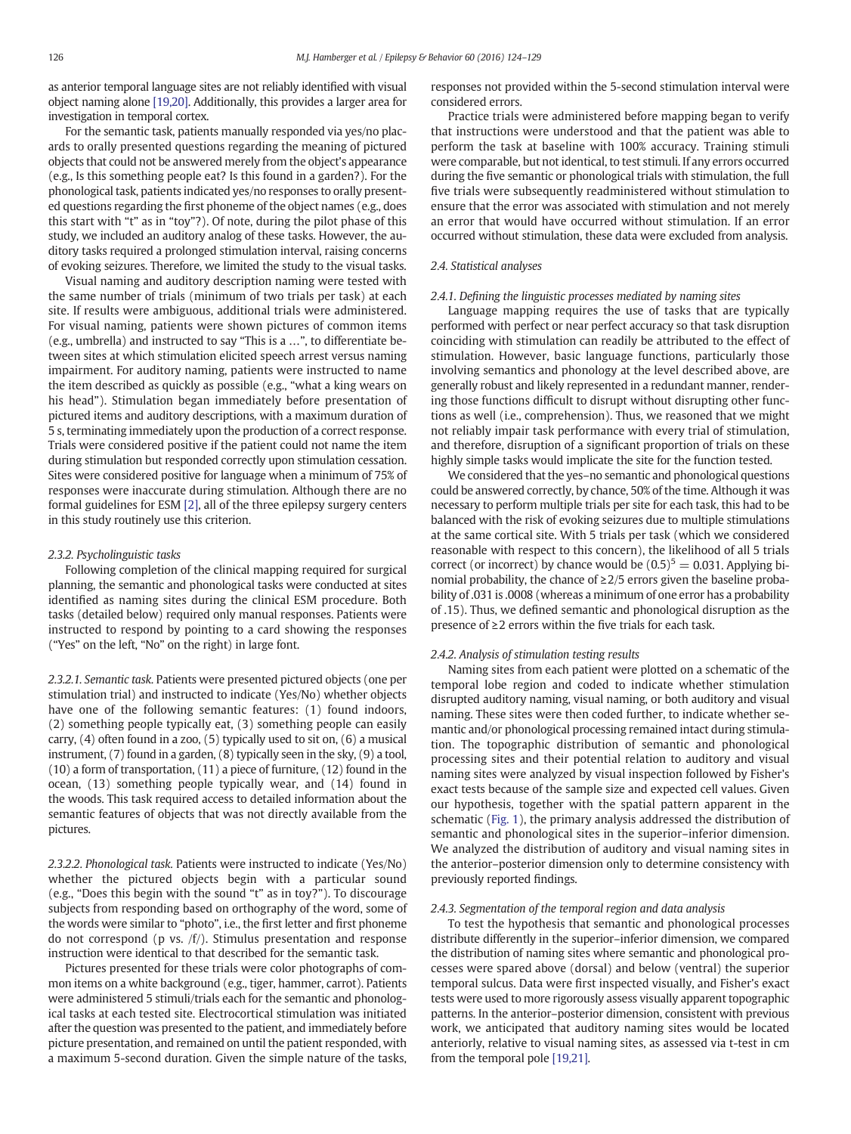as anterior temporal language sites are not reliably identified with visual object naming alone [\[19,20\].](#page-5-0) Additionally, this provides a larger area for investigation in temporal cortex.

For the semantic task, patients manually responded via yes/no placards to orally presented questions regarding the meaning of pictured objects that could not be answered merely from the object's appearance (e.g., Is this something people eat? Is this found in a garden?). For the phonological task, patients indicated yes/no responses to orally presented questions regarding the first phoneme of the object names (e.g., does this start with "t" as in "toy"?). Of note, during the pilot phase of this study, we included an auditory analog of these tasks. However, the auditory tasks required a prolonged stimulation interval, raising concerns of evoking seizures. Therefore, we limited the study to the visual tasks.

Visual naming and auditory description naming were tested with the same number of trials (minimum of two trials per task) at each site. If results were ambiguous, additional trials were administered. For visual naming, patients were shown pictures of common items (e.g., umbrella) and instructed to say "This is a …", to differentiate between sites at which stimulation elicited speech arrest versus naming impairment. For auditory naming, patients were instructed to name the item described as quickly as possible (e.g., "what a king wears on his head"). Stimulation began immediately before presentation of pictured items and auditory descriptions, with a maximum duration of 5 s, terminating immediately upon the production of a correct response. Trials were considered positive if the patient could not name the item during stimulation but responded correctly upon stimulation cessation. Sites were considered positive for language when a minimum of 75% of responses were inaccurate during stimulation. Although there are no formal guidelines for ESM [\[2\],](#page-4-0) all of the three epilepsy surgery centers in this study routinely use this criterion.

# 2.3.2. Psycholinguistic tasks

Following completion of the clinical mapping required for surgical planning, the semantic and phonological tasks were conducted at sites identified as naming sites during the clinical ESM procedure. Both tasks (detailed below) required only manual responses. Patients were instructed to respond by pointing to a card showing the responses ("Yes" on the left, "No" on the right) in large font.

2.3.2.1. Semantic task. Patients were presented pictured objects (one per stimulation trial) and instructed to indicate (Yes/No) whether objects have one of the following semantic features: (1) found indoors, (2) something people typically eat, (3) something people can easily carry, (4) often found in a zoo, (5) typically used to sit on, (6) a musical instrument, (7) found in a garden, (8) typically seen in the sky, (9) a tool, (10) a form of transportation, (11) a piece of furniture, (12) found in the ocean, (13) something people typically wear, and (14) found in the woods. This task required access to detailed information about the semantic features of objects that was not directly available from the pictures.

2.3.2.2. Phonological task. Patients were instructed to indicate (Yes/No) whether the pictured objects begin with a particular sound (e.g., "Does this begin with the sound "t" as in toy?"). To discourage subjects from responding based on orthography of the word, some of the words were similar to "photo", i.e., the first letter and first phoneme do not correspond (p vs. /f/). Stimulus presentation and response instruction were identical to that described for the semantic task.

Pictures presented for these trials were color photographs of common items on a white background (e.g., tiger, hammer, carrot). Patients were administered 5 stimuli/trials each for the semantic and phonological tasks at each tested site. Electrocortical stimulation was initiated after the question was presented to the patient, and immediately before picture presentation, and remained on until the patient responded, with a maximum 5-second duration. Given the simple nature of the tasks, responses not provided within the 5-second stimulation interval were considered errors.

Practice trials were administered before mapping began to verify that instructions were understood and that the patient was able to perform the task at baseline with 100% accuracy. Training stimuli were comparable, but not identical, to test stimuli. If any errors occurred during the five semantic or phonological trials with stimulation, the full five trials were subsequently readministered without stimulation to ensure that the error was associated with stimulation and not merely an error that would have occurred without stimulation. If an error occurred without stimulation, these data were excluded from analysis.

# 2.4. Statistical analyses

### 2.4.1. Defining the linguistic processes mediated by naming sites

Language mapping requires the use of tasks that are typically performed with perfect or near perfect accuracy so that task disruption coinciding with stimulation can readily be attributed to the effect of stimulation. However, basic language functions, particularly those involving semantics and phonology at the level described above, are generally robust and likely represented in a redundant manner, rendering those functions difficult to disrupt without disrupting other functions as well (i.e., comprehension). Thus, we reasoned that we might not reliably impair task performance with every trial of stimulation, and therefore, disruption of a significant proportion of trials on these highly simple tasks would implicate the site for the function tested.

We considered that the yes–no semantic and phonological questions could be answered correctly, by chance, 50% of the time. Although it was necessary to perform multiple trials per site for each task, this had to be balanced with the risk of evoking seizures due to multiple stimulations at the same cortical site. With 5 trials per task (which we considered reasonable with respect to this concern), the likelihood of all 5 trials correct (or incorrect) by chance would be  $(0.5)^5 = 0.031$ . Applying binomial probability, the chance of ≥2/5 errors given the baseline probability of .031 is .0008 (whereas a minimum of one error has a probability of .15). Thus, we defined semantic and phonological disruption as the presence of ≥2 errors within the five trials for each task.

#### 2.4.2. Analysis of stimulation testing results

Naming sites from each patient were plotted on a schematic of the temporal lobe region and coded to indicate whether stimulation disrupted auditory naming, visual naming, or both auditory and visual naming. These sites were then coded further, to indicate whether semantic and/or phonological processing remained intact during stimulation. The topographic distribution of semantic and phonological processing sites and their potential relation to auditory and visual naming sites were analyzed by visual inspection followed by Fisher's exact tests because of the sample size and expected cell values. Given our hypothesis, together with the spatial pattern apparent in the schematic [\(Fig. 1](#page-3-0)), the primary analysis addressed the distribution of semantic and phonological sites in the superior–inferior dimension. We analyzed the distribution of auditory and visual naming sites in the anterior–posterior dimension only to determine consistency with previously reported findings.

# 2.4.3. Segmentation of the temporal region and data analysis

To test the hypothesis that semantic and phonological processes distribute differently in the superior–inferior dimension, we compared the distribution of naming sites where semantic and phonological processes were spared above (dorsal) and below (ventral) the superior temporal sulcus. Data were first inspected visually, and Fisher's exact tests were used to more rigorously assess visually apparent topographic patterns. In the anterior–posterior dimension, consistent with previous work, we anticipated that auditory naming sites would be located anteriorly, relative to visual naming sites, as assessed via t-test in cm from the temporal pole [\[19,21\].](#page-5-0)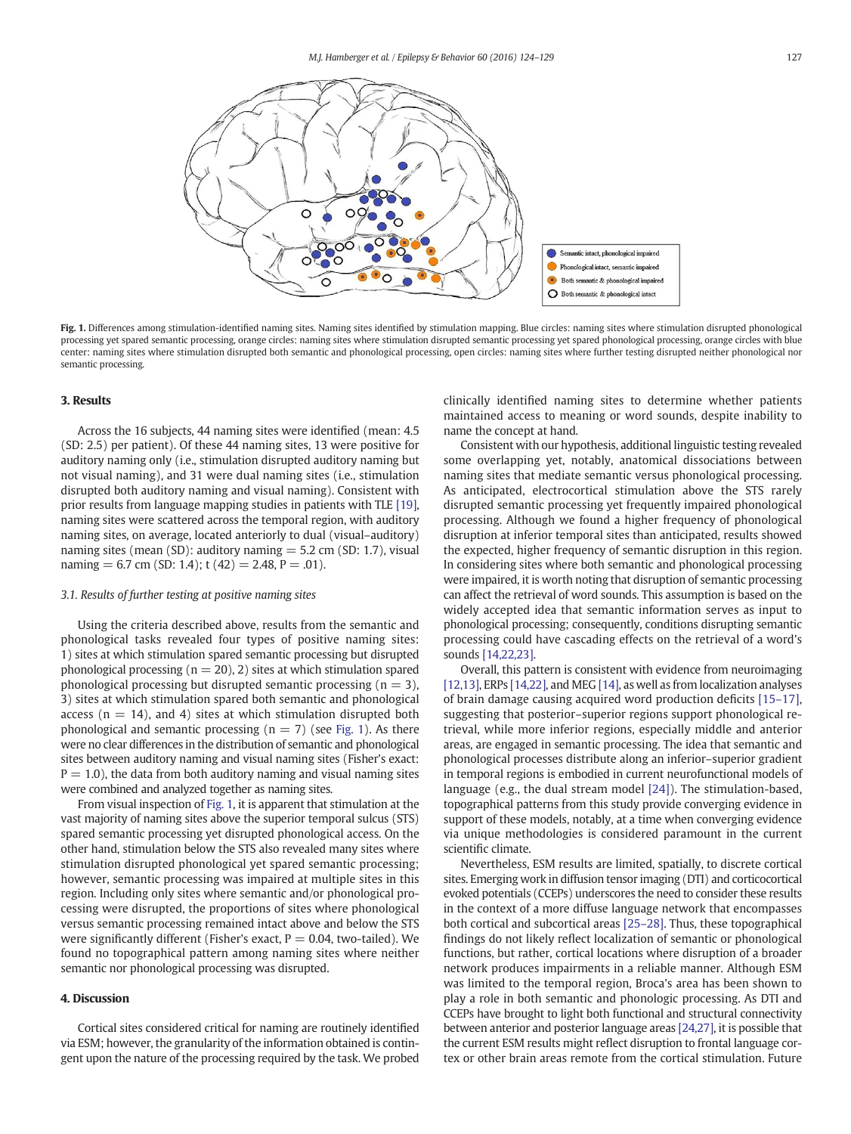<span id="page-3-0"></span>

Fig. 1. Differences among stimulation-identified naming sites. Naming sites identified by stimulation mapping. Blue circles: naming sites where stimulation disrupted phonological processing yet spared semantic processing, orange circles: naming sites where stimulation disrupted semantic processing yet spared phonological processing, orange circles with blue center: naming sites where stimulation disrupted both semantic and phonological processing, open circles: naming sites where further testing disrupted neither phonological nor semantic processing.

# 3. Results

Across the 16 subjects, 44 naming sites were identified (mean: 4.5 (SD: 2.5) per patient). Of these 44 naming sites, 13 were positive for auditory naming only (i.e., stimulation disrupted auditory naming but not visual naming), and 31 were dual naming sites (i.e., stimulation disrupted both auditory naming and visual naming). Consistent with prior results from language mapping studies in patients with TLE [\[19\],](#page-5-0) naming sites were scattered across the temporal region, with auditory naming sites, on average, located anteriorly to dual (visual–auditory) naming sites (mean (SD): auditory naming  $=$  5.2 cm (SD: 1.7), visual naming  $= 6.7$  cm (SD: 1.4); t (42)  $= 2.48$ , P  $= .01$ ).

# 3.1. Results of further testing at positive naming sites

Using the criteria described above, results from the semantic and phonological tasks revealed four types of positive naming sites: 1) sites at which stimulation spared semantic processing but disrupted phonological processing  $(n = 20)$ , 2) sites at which stimulation spared phonological processing but disrupted semantic processing  $(n = 3)$ , 3) sites at which stimulation spared both semantic and phonological access ( $n = 14$ ), and 4) sites at which stimulation disrupted both phonological and semantic processing  $(n = 7)$  (see Fig. 1). As there were no clear differences in the distribution of semantic and phonological sites between auditory naming and visual naming sites (Fisher's exact:  $P = 1.0$ ), the data from both auditory naming and visual naming sites were combined and analyzed together as naming sites.

From visual inspection of Fig. 1, it is apparent that stimulation at the vast majority of naming sites above the superior temporal sulcus (STS) spared semantic processing yet disrupted phonological access. On the other hand, stimulation below the STS also revealed many sites where stimulation disrupted phonological yet spared semantic processing; however, semantic processing was impaired at multiple sites in this region. Including only sites where semantic and/or phonological processing were disrupted, the proportions of sites where phonological versus semantic processing remained intact above and below the STS were significantly different (Fisher's exact,  $P = 0.04$ , two-tailed). We found no topographical pattern among naming sites where neither semantic nor phonological processing was disrupted.

# 4. Discussion

Cortical sites considered critical for naming are routinely identified via ESM; however, the granularity of the information obtained is contingent upon the nature of the processing required by the task. We probed clinically identified naming sites to determine whether patients maintained access to meaning or word sounds, despite inability to name the concept at hand.

Consistent with our hypothesis, additional linguistic testing revealed some overlapping yet, notably, anatomical dissociations between naming sites that mediate semantic versus phonological processing. As anticipated, electrocortical stimulation above the STS rarely disrupted semantic processing yet frequently impaired phonological processing. Although we found a higher frequency of phonological disruption at inferior temporal sites than anticipated, results showed the expected, higher frequency of semantic disruption in this region. In considering sites where both semantic and phonological processing were impaired, it is worth noting that disruption of semantic processing can affect the retrieval of word sounds. This assumption is based on the widely accepted idea that semantic information serves as input to phonological processing; consequently, conditions disrupting semantic processing could have cascading effects on the retrieval of a word's sounds [\[14,22,23\]](#page-4-0).

Overall, this pattern is consistent with evidence from neuroimaging [\[12,13\]](#page-4-0), ERPs [\[14,22\]](#page-4-0), and MEG [\[14\]](#page-4-0), as well as from localization analyses of brain damage causing acquired word production deficits [15–[17\],](#page-4-0) suggesting that posterior–superior regions support phonological retrieval, while more inferior regions, especially middle and anterior areas, are engaged in semantic processing. The idea that semantic and phonological processes distribute along an inferior–superior gradient in temporal regions is embodied in current neurofunctional models of language (e.g., the dual stream model [\[24\]\)](#page-5-0). The stimulation-based, topographical patterns from this study provide converging evidence in support of these models, notably, at a time when converging evidence via unique methodologies is considered paramount in the current scientific climate.

Nevertheless, ESM results are limited, spatially, to discrete cortical sites. Emerging work in diffusion tensor imaging (DTI) and corticocortical evoked potentials (CCEPs) underscores the need to consider these results in the context of a more diffuse language network that encompasses both cortical and subcortical areas [25–[28\].](#page-5-0) Thus, these topographical findings do not likely reflect localization of semantic or phonological functions, but rather, cortical locations where disruption of a broader network produces impairments in a reliable manner. Although ESM was limited to the temporal region, Broca's area has been shown to play a role in both semantic and phonologic processing. As DTI and CCEPs have brought to light both functional and structural connectivity between anterior and posterior language areas [\[24,27\],](#page-5-0) it is possible that the current ESM results might reflect disruption to frontal language cortex or other brain areas remote from the cortical stimulation. Future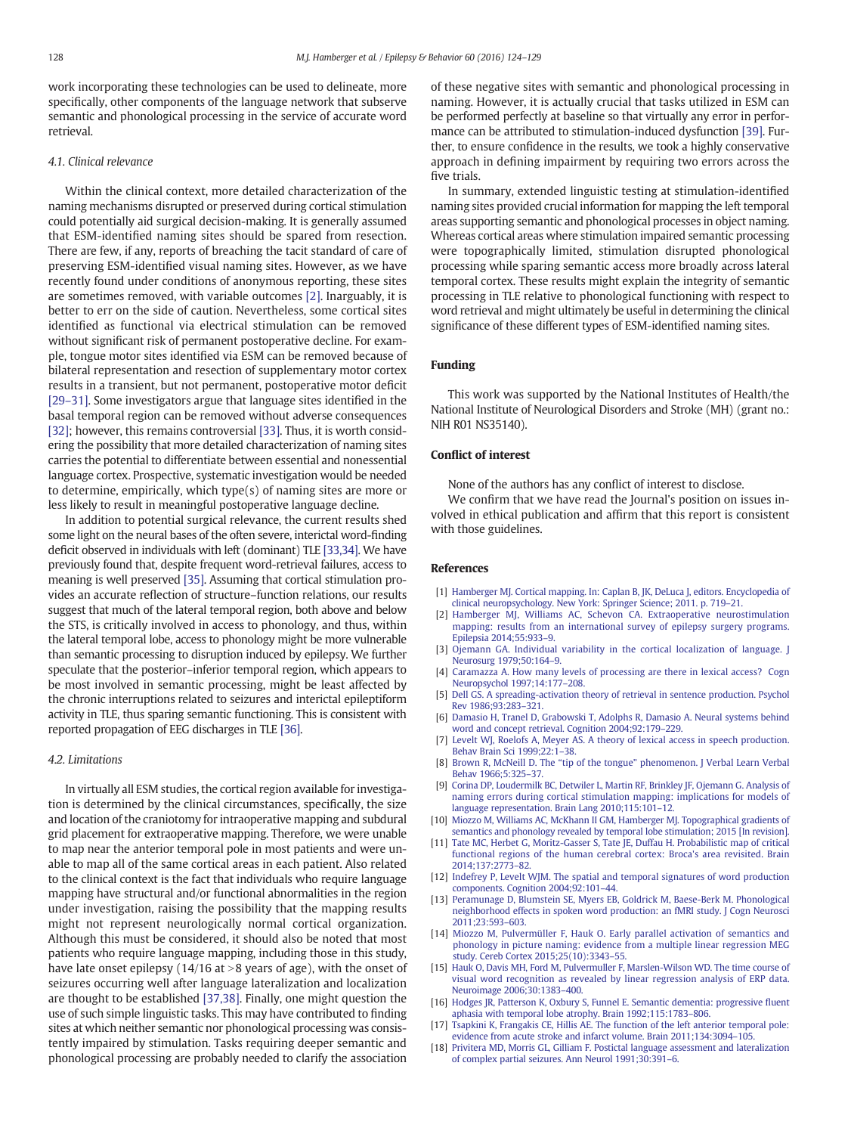<span id="page-4-0"></span>work incorporating these technologies can be used to delineate, more specifically, other components of the language network that subserve semantic and phonological processing in the service of accurate word retrieval.

# 4.1. Clinical relevance

Within the clinical context, more detailed characterization of the naming mechanisms disrupted or preserved during cortical stimulation could potentially aid surgical decision-making. It is generally assumed that ESM-identified naming sites should be spared from resection. There are few, if any, reports of breaching the tacit standard of care of preserving ESM-identified visual naming sites. However, as we have recently found under conditions of anonymous reporting, these sites are sometimes removed, with variable outcomes [2]. Inarguably, it is better to err on the side of caution. Nevertheless, some cortical sites identified as functional via electrical stimulation can be removed without significant risk of permanent postoperative decline. For example, tongue motor sites identified via ESM can be removed because of bilateral representation and resection of supplementary motor cortex results in a transient, but not permanent, postoperative motor deficit [29–[31\].](#page-5-0) Some investigators argue that language sites identified in the basal temporal region can be removed without adverse consequences [\[32\]](#page-5-0); however, this remains controversial [\[33\].](#page-5-0) Thus, it is worth considering the possibility that more detailed characterization of naming sites carries the potential to differentiate between essential and nonessential language cortex. Prospective, systematic investigation would be needed to determine, empirically, which type(s) of naming sites are more or less likely to result in meaningful postoperative language decline.

In addition to potential surgical relevance, the current results shed some light on the neural bases of the often severe, interictal word-finding deficit observed in individuals with left (dominant) TLE [\[33,34\].](#page-5-0) We have previously found that, despite frequent word-retrieval failures, access to meaning is well preserved [\[35\].](#page-5-0) Assuming that cortical stimulation provides an accurate reflection of structure–function relations, our results suggest that much of the lateral temporal region, both above and below the STS, is critically involved in access to phonology, and thus, within the lateral temporal lobe, access to phonology might be more vulnerable than semantic processing to disruption induced by epilepsy. We further speculate that the posterior–inferior temporal region, which appears to be most involved in semantic processing, might be least affected by the chronic interruptions related to seizures and interictal epileptiform activity in TLE, thus sparing semantic functioning. This is consistent with reported propagation of EEG discharges in TLE [\[36\]](#page-5-0).

# 4.2. Limitations

In virtually all ESM studies, the cortical region available for investigation is determined by the clinical circumstances, specifically, the size and location of the craniotomy for intraoperative mapping and subdural grid placement for extraoperative mapping. Therefore, we were unable to map near the anterior temporal pole in most patients and were unable to map all of the same cortical areas in each patient. Also related to the clinical context is the fact that individuals who require language mapping have structural and/or functional abnormalities in the region under investigation, raising the possibility that the mapping results might not represent neurologically normal cortical organization. Although this must be considered, it should also be noted that most patients who require language mapping, including those in this study, have late onset epilepsy  $(14/16$  at  $> 8$  years of age), with the onset of seizures occurring well after language lateralization and localization are thought to be established [\[37,38\].](#page-5-0) Finally, one might question the use of such simple linguistic tasks. This may have contributed to finding sites at which neither semantic nor phonological processing was consistently impaired by stimulation. Tasks requiring deeper semantic and phonological processing are probably needed to clarify the association

of these negative sites with semantic and phonological processing in naming. However, it is actually crucial that tasks utilized in ESM can be performed perfectly at baseline so that virtually any error in performance can be attributed to stimulation-induced dysfunction [\[39\].](#page-5-0) Further, to ensure confidence in the results, we took a highly conservative approach in defining impairment by requiring two errors across the five trials.

In summary, extended linguistic testing at stimulation-identified naming sites provided crucial information for mapping the left temporal areas supporting semantic and phonological processes in object naming. Whereas cortical areas where stimulation impaired semantic processing were topographically limited, stimulation disrupted phonological processing while sparing semantic access more broadly across lateral temporal cortex. These results might explain the integrity of semantic processing in TLE relative to phonological functioning with respect to word retrieval and might ultimately be useful in determining the clinical significance of these different types of ESM-identified naming sites.

#### Funding

This work was supported by the National Institutes of Health/the National Institute of Neurological Disorders and Stroke (MH) (grant no.: NIH R01 NS35140).

# Conflict of interest

None of the authors has any conflict of interest to disclose.

We confirm that we have read the Journal's position on issues involved in ethical publication and affirm that this report is consistent with those guidelines.

# References

- [1] [Hamberger MJ. Cortical mapping. In: Caplan B, JK, DeLuca J, editors. Encyclopedia of](http://refhub.elsevier.com/S1525-5050(16)30035-X/rf0005) [clinical neuropsychology. New York: Springer Science; 2011. p. 719](http://refhub.elsevier.com/S1525-5050(16)30035-X/rf0005)–21.
- [2] [Hamberger MJ, Williams AC, Schevon CA. Extraoperative neurostimulation](http://refhub.elsevier.com/S1525-5050(16)30035-X/rf0010) [mapping: results from an international survey of epilepsy surgery programs.](http://refhub.elsevier.com/S1525-5050(16)30035-X/rf0010) [Epilepsia 2014;55:933](http://refhub.elsevier.com/S1525-5050(16)30035-X/rf0010)–9.
- [3] [Ojemann GA. Individual variability in the cortical localization of language. J](http://refhub.elsevier.com/S1525-5050(16)30035-X/rf0015) [Neurosurg 1979;50:164](http://refhub.elsevier.com/S1525-5050(16)30035-X/rf0015)–9.
- [4] [Caramazza A. How many levels of processing are there in lexical access? Cogn](http://refhub.elsevier.com/S1525-5050(16)30035-X/rf0020) [Neuropsychol 1997;14:177](http://refhub.elsevier.com/S1525-5050(16)30035-X/rf0020)–208.
- [5] [Dell GS. A spreading-activation theory of retrieval in sentence production. Psychol](http://refhub.elsevier.com/S1525-5050(16)30035-X/rf0025) [Rev 1986;93:283](http://refhub.elsevier.com/S1525-5050(16)30035-X/rf0025)–321.
- [6] [Damasio H, Tranel D, Grabowski T, Adolphs R, Damasio A. Neural systems behind](http://refhub.elsevier.com/S1525-5050(16)30035-X/rf0030) [word and concept retrieval. Cognition 2004;92:179](http://refhub.elsevier.com/S1525-5050(16)30035-X/rf0030)–229.
- [7] [Levelt WJ, Roelofs A, Meyer AS. A theory of lexical access in speech production.](http://refhub.elsevier.com/S1525-5050(16)30035-X/rf0035) [Behav Brain Sci 1999;22:1](http://refhub.elsevier.com/S1525-5050(16)30035-X/rf0035)–38.
- [8] Brown R, McNeill D. The "tip of the tongue" [phenomenon. J Verbal Learn Verbal](http://refhub.elsevier.com/S1525-5050(16)30035-X/rf0040) [Behav 1966;5:325](http://refhub.elsevier.com/S1525-5050(16)30035-X/rf0040)–37.
- [9] [Corina DP, Loudermilk BC, Detwiler L, Martin RF, Brinkley JF, Ojemann G. Analysis of](http://refhub.elsevier.com/S1525-5050(16)30035-X/rf0045) [naming errors during cortical stimulation mapping: implications for models of](http://refhub.elsevier.com/S1525-5050(16)30035-X/rf0045) [language representation. Brain Lang 2010;115:101](http://refhub.elsevier.com/S1525-5050(16)30035-X/rf0045)–12.
- [10] [Miozzo M, Williams AC, McKhann II GM, Hamberger MJ. Topographical gradients of](http://refhub.elsevier.com/S1525-5050(16)30035-X/rf0050) [semantics and phonology revealed by temporal lobe stimulation; 2015 \[In revision\].](http://refhub.elsevier.com/S1525-5050(16)30035-X/rf0050)
- [11] [Tate MC, Herbet G, Moritz-Gasser S, Tate JE, Duffau H. Probabilistic map of critical](http://refhub.elsevier.com/S1525-5050(16)30035-X/rf0055) [functional regions of the human cerebral cortex: Broca's area revisited. Brain](http://refhub.elsevier.com/S1525-5050(16)30035-X/rf0055) [2014;137:2773](http://refhub.elsevier.com/S1525-5050(16)30035-X/rf0055)–82.
- [12] [Indefrey P, Levelt WJM. The spatial and temporal signatures of word production](http://refhub.elsevier.com/S1525-5050(16)30035-X/rf0060) [components. Cognition 2004;92:101](http://refhub.elsevier.com/S1525-5050(16)30035-X/rf0060)–44.
- [13] [Peramunage D, Blumstein SE, Myers EB, Goldrick M, Baese-Berk M. Phonological](http://refhub.elsevier.com/S1525-5050(16)30035-X/rf0065) [neighborhood effects in spoken word production: an fMRI study. J Cogn Neurosci](http://refhub.elsevier.com/S1525-5050(16)30035-X/rf0065) [2011;23:593](http://refhub.elsevier.com/S1525-5050(16)30035-X/rf0065)–603.
- [14] [Miozzo M, Pulvermüller F, Hauk O. Early parallel activation of semantics and](http://refhub.elsevier.com/S1525-5050(16)30035-X/rf0070) [phonology in picture naming: evidence from a multiple linear regression MEG](http://refhub.elsevier.com/S1525-5050(16)30035-X/rf0070) [study. Cereb Cortex 2015;25\(10\):3343](http://refhub.elsevier.com/S1525-5050(16)30035-X/rf0070)–55.
- [15] [Hauk O, Davis MH, Ford M, Pulvermuller F, Marslen-Wilson WD. The time course of](http://refhub.elsevier.com/S1525-5050(16)30035-X/rf0075) [visual word recognition as revealed by linear regression analysis of ERP data.](http://refhub.elsevier.com/S1525-5050(16)30035-X/rf0075) [Neuroimage 2006;30:1383](http://refhub.elsevier.com/S1525-5050(16)30035-X/rf0075)–400.
- [16] [Hodges JR, Patterson K, Oxbury S, Funnel E. Semantic dementia: progressive](http://refhub.elsevier.com/S1525-5050(16)30035-X/rf0080) fluent [aphasia with temporal lobe atrophy. Brain 1992;115:1783](http://refhub.elsevier.com/S1525-5050(16)30035-X/rf0080)–806.
- [17] [Tsapkini K, Frangakis CE, Hillis AE. The function of the left anterior temporal pole:](http://refhub.elsevier.com/S1525-5050(16)30035-X/rf0085) [evidence from acute stroke and infarct volume. Brain 2011;134:3094](http://refhub.elsevier.com/S1525-5050(16)30035-X/rf0085)–105.
- [18] [Privitera MD, Morris GL, Gilliam F. Postictal language assessment and lateralization](http://refhub.elsevier.com/S1525-5050(16)30035-X/rf0090) [of complex partial seizures. Ann Neurol 1991;30:391](http://refhub.elsevier.com/S1525-5050(16)30035-X/rf0090)–6.